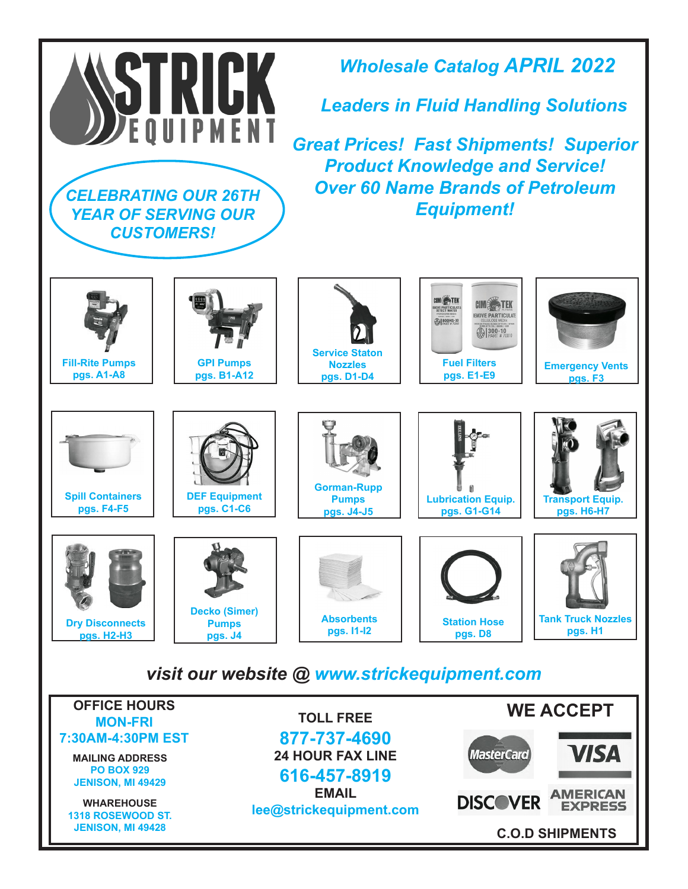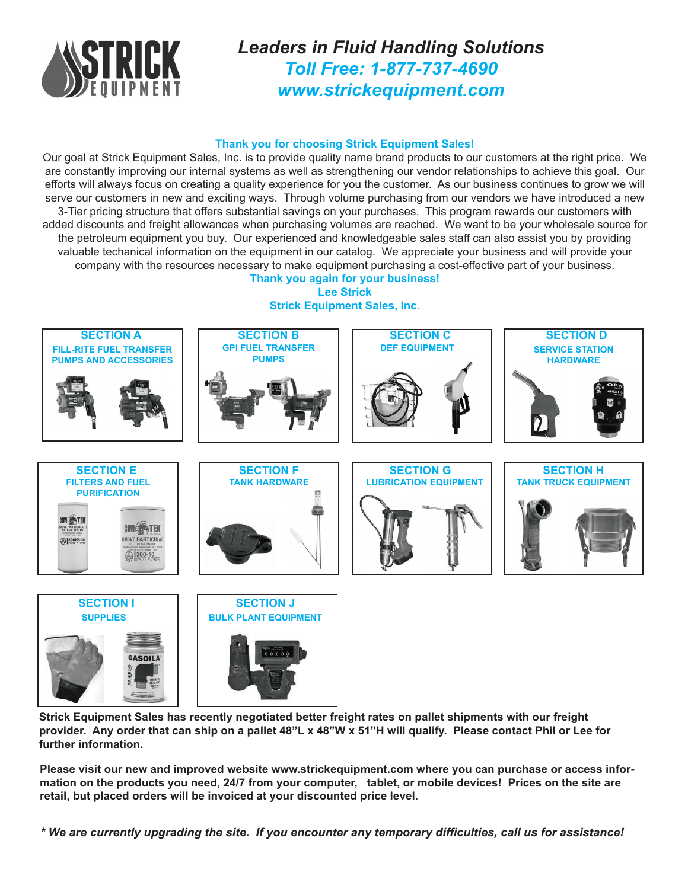

*Leaders in Fluid Handling Solutions Toll Free: 1-877-737-4690 www.strickequipment.com*

## **Thank you for choosing Strick Equipment Sales!**

Our goal at Strick Equipment Sales, Inc. is to provide quality name brand products to our customers at the right price. We are constantly improving our internal systems as well as strengthening our vendor relationships to achieve this goal. Our efforts will always focus on creating a quality experience for you the customer. As our business continues to grow we will serve our customers in new and exciting ways. Through volume purchasing from our vendors we have introduced a new 3-Tier pricing structure that offers substantial savings on your purchases. This program rewards our customers with added discounts and freight allowances when purchasing volumes are reached. We want to be your wholesale source for the petroleum equipment you buy. Our experienced and knowledgeable sales staff can also assist you by providing valuable techanical information on the equipment in our catalog. We appreciate your business and will provide your company with the resources necessary to make equipment purchasing a cost-effective part of your business.

**Thank you again for your business! Lee Strick Strick Equipment Sales, Inc.**



**Strick Equipment Sales has recently negotiated better freight rates on pallet shipments with our freight provider. Any order that can ship on a pallet 48"L x 48"W x 51"H will qualify. Please contact Phil or Lee for further information.**

**Please visit our new and improved website www.strickequipment.com where you can purchase or access information on the products you need, 24/7 from your computer, tablet, or mobile devices! Prices on the site are retail, but placed orders will be invoiced at your discounted price level.**

*\* We are currently upgrading the site. If you encounter any temporary difficulties, call us for assistance!*